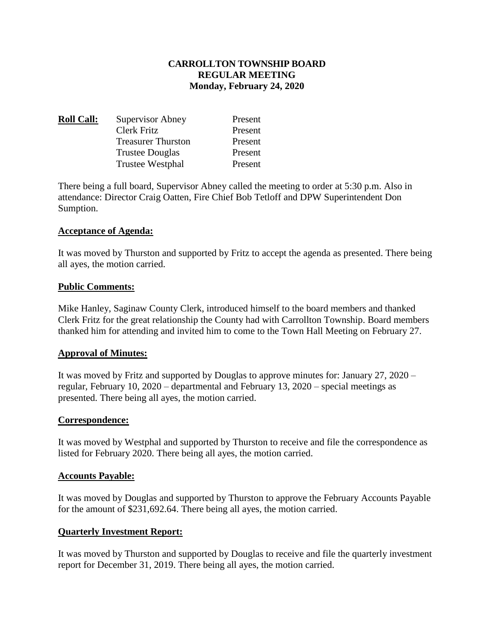# **CARROLLTON TOWNSHIP BOARD REGULAR MEETING Monday, February 24, 2020**

| <b>Roll Call:</b> | Supervisor Abney          | Present |
|-------------------|---------------------------|---------|
|                   | Clerk Fritz               | Present |
|                   | <b>Treasurer Thurston</b> | Present |
|                   | <b>Trustee Douglas</b>    | Present |
|                   | Trustee Westphal          | Present |

There being a full board, Supervisor Abney called the meeting to order at 5:30 p.m. Also in attendance: Director Craig Oatten, Fire Chief Bob Tetloff and DPW Superintendent Don Sumption.

# **Acceptance of Agenda:**

It was moved by Thurston and supported by Fritz to accept the agenda as presented. There being all ayes, the motion carried.

#### **Public Comments:**

Mike Hanley, Saginaw County Clerk, introduced himself to the board members and thanked Clerk Fritz for the great relationship the County had with Carrollton Township. Board members thanked him for attending and invited him to come to the Town Hall Meeting on February 27.

# **Approval of Minutes:**

It was moved by Fritz and supported by Douglas to approve minutes for: January 27, 2020 – regular, February 10, 2020 – departmental and February 13, 2020 – special meetings as presented. There being all ayes, the motion carried.

# **Correspondence:**

It was moved by Westphal and supported by Thurston to receive and file the correspondence as listed for February 2020. There being all ayes, the motion carried.

#### **Accounts Payable:**

It was moved by Douglas and supported by Thurston to approve the February Accounts Payable for the amount of \$231,692.64. There being all ayes, the motion carried.

# **Quarterly Investment Report:**

It was moved by Thurston and supported by Douglas to receive and file the quarterly investment report for December 31, 2019. There being all ayes, the motion carried.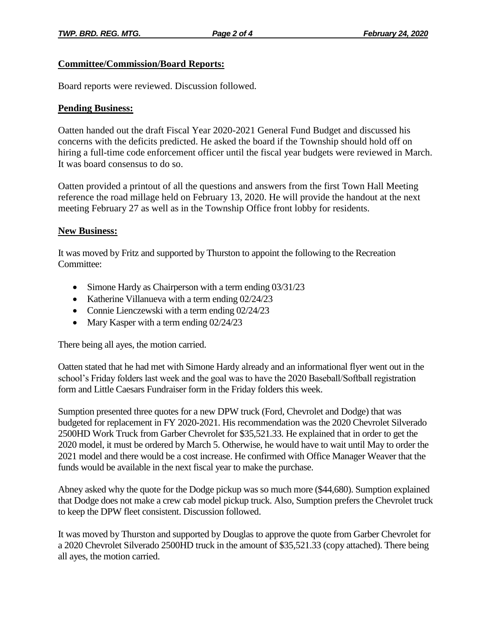# **Committee/Commission/Board Reports:**

Board reports were reviewed. Discussion followed.

#### **Pending Business:**

Oatten handed out the draft Fiscal Year 2020-2021 General Fund Budget and discussed his concerns with the deficits predicted. He asked the board if the Township should hold off on hiring a full-time code enforcement officer until the fiscal year budgets were reviewed in March. It was board consensus to do so.

Oatten provided a printout of all the questions and answers from the first Town Hall Meeting reference the road millage held on February 13, 2020. He will provide the handout at the next meeting February 27 as well as in the Township Office front lobby for residents.

#### **New Business:**

It was moved by Fritz and supported by Thurston to appoint the following to the Recreation Committee:

- Simone Hardy as Chairperson with a term ending 03/31/23
- Katherine Villanueva with a term ending 02/24/23
- Connie Lienczewski with a term ending 02/24/23
- Mary Kasper with a term ending 02/24/23

There being all ayes, the motion carried.

Oatten stated that he had met with Simone Hardy already and an informational flyer went out in the school's Friday folders last week and the goal was to have the 2020 Baseball/Softball registration form and Little Caesars Fundraiser form in the Friday folders this week.

Sumption presented three quotes for a new DPW truck (Ford, Chevrolet and Dodge) that was budgeted for replacement in FY 2020-2021. His recommendation was the 2020 Chevrolet Silverado 2500HD Work Truck from Garber Chevrolet for \$35,521.33. He explained that in order to get the 2020 model, it must be ordered by March 5. Otherwise, he would have to wait until May to order the 2021 model and there would be a cost increase. He confirmed with Office Manager Weaver that the funds would be available in the next fiscal year to make the purchase.

Abney asked why the quote for the Dodge pickup was so much more (\$44,680). Sumption explained that Dodge does not make a crew cab model pickup truck. Also, Sumption prefers the Chevrolet truck to keep the DPW fleet consistent. Discussion followed.

It was moved by Thurston and supported by Douglas to approve the quote from Garber Chevrolet for a 2020 Chevrolet Silverado 2500HD truck in the amount of \$35,521.33 (copy attached). There being all ayes, the motion carried.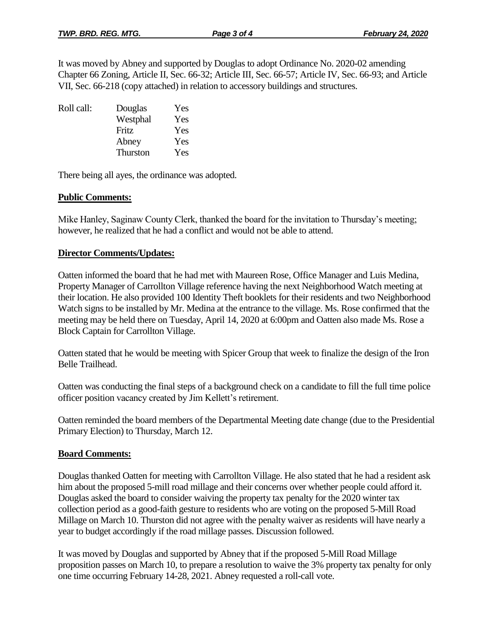It was moved by Abney and supported by Douglas to adopt Ordinance No. 2020-02 amending Chapter 66 Zoning, Article II, Sec. 66-32; Article III, Sec. 66-57; Article IV, Sec. 66-93; and Article VII, Sec. 66-218 (copy attached) in relation to accessory buildings and structures.

| Roll call: | Douglas  | Yes |
|------------|----------|-----|
|            | Westphal | Yes |
|            | Fritz    | Yes |
|            | Abney    | Yes |
|            | Thurston | Yes |
|            |          |     |

There being all ayes, the ordinance was adopted.

# **Public Comments:**

Mike Hanley, Saginaw County Clerk, thanked the board for the invitation to Thursday's meeting; however, he realized that he had a conflict and would not be able to attend.

#### **Director Comments/Updates:**

Oatten informed the board that he had met with Maureen Rose, Office Manager and Luis Medina, Property Manager of Carrollton Village reference having the next Neighborhood Watch meeting at their location. He also provided 100 Identity Theft booklets for their residents and two Neighborhood Watch signs to be installed by Mr. Medina at the entrance to the village. Ms. Rose confirmed that the meeting may be held there on Tuesday, April 14, 2020 at 6:00pm and Oatten also made Ms. Rose a Block Captain for Carrollton Village.

Oatten stated that he would be meeting with Spicer Group that week to finalize the design of the Iron Belle Trailhead.

Oatten was conducting the final steps of a background check on a candidate to fill the full time police officer position vacancy created by Jim Kellett's retirement.

Oatten reminded the board members of the Departmental Meeting date change (due to the Presidential Primary Election) to Thursday, March 12.

# **Board Comments:**

Douglas thanked Oatten for meeting with Carrollton Village. He also stated that he had a resident ask him about the proposed 5-mill road millage and their concerns over whether people could afford it. Douglas asked the board to consider waiving the property tax penalty for the 2020 winter tax collection period as a good-faith gesture to residents who are voting on the proposed 5-Mill Road Millage on March 10. Thurston did not agree with the penalty waiver as residents will have nearly a year to budget accordingly if the road millage passes. Discussion followed.

It was moved by Douglas and supported by Abney that if the proposed 5-Mill Road Millage proposition passes on March 10, to prepare a resolution to waive the 3% property tax penalty for only one time occurring February 14-28, 2021. Abney requested a roll-call vote.